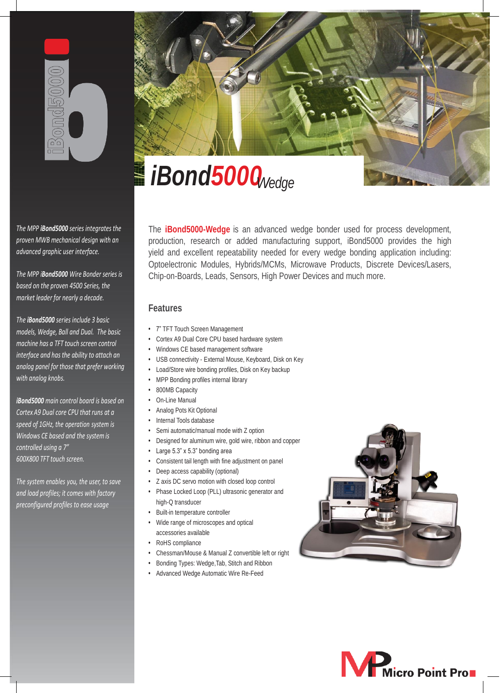

*The MPP iBond5000 series integrates the proven MWB mechanical design with an advanced graphic user interface.*

*The MPP iBond5000 Wire Bonder series is based on the proven 4500 Series, the market leader for nearly a decade.*

*The iBond5000 series include 3 basic models, Wedge, Ball and Dual. The basic machine has a TFT touch screen control interface and has the ability to attach an analog panel for those that prefer working with analog knobs.*

*iBond5000 main control board is based on Cortex A9 Dual core CPU that runs at a speed of 1GHz, the operation system is Windows CE based and the system is controlled using a 7" 600X800 TFT touch screen.*

*The system enables you, the user, to save and load profiles; it comes with factory preconfigured profiles to ease usage*



The **iBond5000-Wedge** is an advanced wedge bonder used for process development, production, research or added manufacturing support, iBond5000 provides the high yield and excellent repeatability needed for every wedge bonding application including: Optoelectronic Modules, Hybrids/MCMs, Microwave Products, Discrete Devices/Lasers, Chip-on-Boards, Leads, Sensors, High Power Devices and much more.

# **Features**

- 7" TFT Touch Screen Management
- Cortex A9 Dual Core CPU based hardware system
- Windows CE based management software
- USB connectivity External Mouse, Keyboard, Disk on Key
- Load/Store wire bonding profiles, Disk on Key backup
- MPP Bonding profiles internal library
- 800MB Capacity
- On-Line Manual
- Analog Pots Kit Optional
- Internal Tools database
- Semi automatic/manual mode with Z option
- Designed for aluminum wire, gold wire, ribbon and copper
- Large 5.3" x 5.3" bonding area
- Consistent tail length with fine adjustment on panel
- Deep access capability (optional)
- Z axis DC servo motion with closed loop control
- Phase Locked Loop (PLL) ultrasonic generator and high-Q transducer
- Built-in temperature controller
- Wide range of microscopes and optical accessories available
- RoHS compliance
- Chessman/Mouse & Manual Z convertible left or right
- Bonding Types: Wedge,Tab, Stitch and Ribbon
- Advanced Wedge Automatic Wire Re-Feed